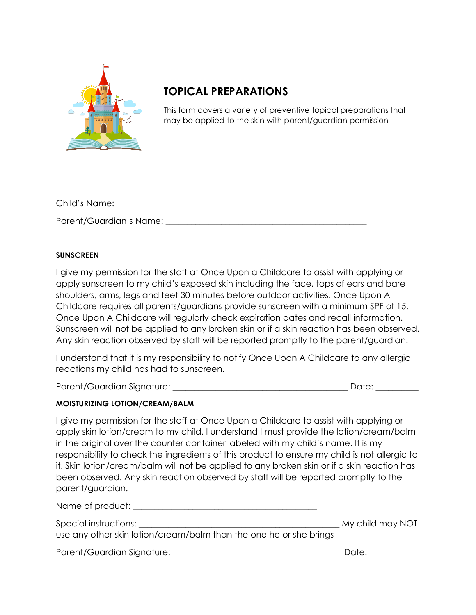

## **TOPICAL PREPARATIONS**

This form covers a variety of preventive topical preparations that may be applied to the skin with parent/guardian permission

| Child's Name:           |  |
|-------------------------|--|
|                         |  |
| Parent/Guardian's Name: |  |

## **SUNSCREEN**

I give my permission for the staff at Once Upon a Childcare to assist with applying or apply sunscreen to my child's exposed skin including the face, tops of ears and bare shoulders, arms, legs and feet 30 minutes before outdoor activities. Once Upon A Childcare requires all parents/guardians provide sunscreen with a minimum SPF of 15. Once Upon A Childcare will regularly check expiration dates and recall information. Sunscreen will not be applied to any broken skin or if a skin reaction has been observed. Any skin reaction observed by staff will be reported promptly to the parent/guardian.

I understand that it is my responsibility to notify Once Upon A Childcare to any allergic reactions my child has had to sunscreen.

Parent/Guardian Signature: \_\_\_\_\_\_\_\_\_\_\_\_\_\_\_\_\_\_\_\_\_\_\_\_\_\_\_\_\_\_\_\_\_\_\_\_\_\_\_\_\_ Date: \_\_\_\_\_\_\_\_\_\_

## **MOISTURIZING LOTION/CREAM/BALM**

I give my permission for the staff at Once Upon a Childcare to assist with applying or apply skin lotion/cream to my child. I understand I must provide the lotion/cream/balm in the original over the counter container labeled with my child's name. It is my responsibility to check the ingredients of this product to ensure my child is not allergic to it. Skin lotion/cream/balm will not be applied to any broken skin or if a skin reaction has been observed. Any skin reaction observed by staff will be reported promptly to the parent/guardian.

| Name of product: ____                                              |                  |
|--------------------------------------------------------------------|------------------|
| Special instructions: __                                           | My child may NOT |
| use any other skin lotion/cream/balm than the one he or she brings |                  |
| Parent/Guardian Signature:                                         | Date:            |